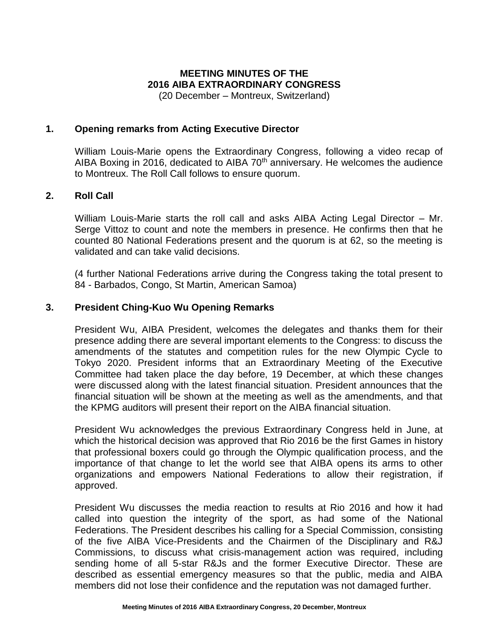# **MEETING MINUTES OF THE 2016 AIBA EXTRAORDINARY CONGRESS**

(20 December – Montreux, Switzerland)

#### **1. Opening remarks from Acting Executive Director**

William Louis-Marie opens the Extraordinary Congress, following a video recap of AIBA Boxing in 2016, dedicated to AIBA  $70<sup>th</sup>$  anniversary. He welcomes the audience to Montreux. The Roll Call follows to ensure quorum.

#### **2. Roll Call**

William Louis-Marie starts the roll call and asks AIBA Acting Legal Director – Mr. Serge Vittoz to count and note the members in presence. He confirms then that he counted 80 National Federations present and the quorum is at 62, so the meeting is validated and can take valid decisions.

(4 further National Federations arrive during the Congress taking the total present to 84 - Barbados, Congo, St Martin, American Samoa)

## **3. President Ching-Kuo Wu Opening Remarks**

President Wu, AIBA President, welcomes the delegates and thanks them for their presence adding there are several important elements to the Congress: to discuss the amendments of the statutes and competition rules for the new Olympic Cycle to Tokyo 2020. President informs that an Extraordinary Meeting of the Executive Committee had taken place the day before, 19 December, at which these changes were discussed along with the latest financial situation. President announces that the financial situation will be shown at the meeting as well as the amendments, and that the KPMG auditors will present their report on the AIBA financial situation.

President Wu acknowledges the previous Extraordinary Congress held in June, at which the historical decision was approved that Rio 2016 be the first Games in history that professional boxers could go through the Olympic qualification process, and the importance of that change to let the world see that AIBA opens its arms to other organizations and empowers National Federations to allow their registration, if approved.

President Wu discusses the media reaction to results at Rio 2016 and how it had called into question the integrity of the sport, as had some of the National Federations. The President describes his calling for a Special Commission, consisting of the five AIBA Vice-Presidents and the Chairmen of the Disciplinary and R&J Commissions, to discuss what crisis-management action was required, including sending home of all 5-star R&Js and the former Executive Director. These are described as essential emergency measures so that the public, media and AIBA members did not lose their confidence and the reputation was not damaged further.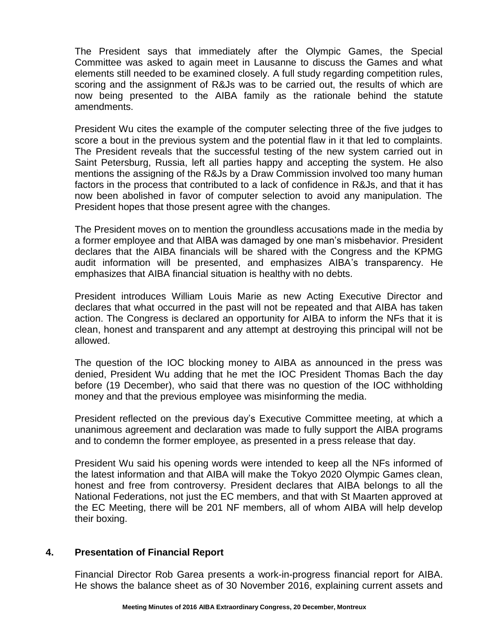The President says that immediately after the Olympic Games, the Special Committee was asked to again meet in Lausanne to discuss the Games and what elements still needed to be examined closely. A full study regarding competition rules, scoring and the assignment of R&Js was to be carried out, the results of which are now being presented to the AIBA family as the rationale behind the statute amendments.

President Wu cites the example of the computer selecting three of the five judges to score a bout in the previous system and the potential flaw in it that led to complaints. The President reveals that the successful testing of the new system carried out in Saint Petersburg, Russia, left all parties happy and accepting the system. He also mentions the assigning of the R&Js by a Draw Commission involved too many human factors in the process that contributed to a lack of confidence in R&Js, and that it has now been abolished in favor of computer selection to avoid any manipulation. The President hopes that those present agree with the changes.

The President moves on to mention the groundless accusations made in the media by a former employee and that AIBA was damaged by one man's misbehavior. President declares that the AIBA financials will be shared with the Congress and the KPMG audit information will be presented, and emphasizes AIBA's transparency. He emphasizes that AIBA financial situation is healthy with no debts.

President introduces William Louis Marie as new Acting Executive Director and declares that what occurred in the past will not be repeated and that AIBA has taken action. The Congress is declared an opportunity for AIBA to inform the NFs that it is clean, honest and transparent and any attempt at destroying this principal will not be allowed.

The question of the IOC blocking money to AIBA as announced in the press was denied, President Wu adding that he met the IOC President Thomas Bach the day before (19 December), who said that there was no question of the IOC withholding money and that the previous employee was misinforming the media.

President reflected on the previous day's Executive Committee meeting, at which a unanimous agreement and declaration was made to fully support the AIBA programs and to condemn the former employee, as presented in a press release that day.

President Wu said his opening words were intended to keep all the NFs informed of the latest information and that AIBA will make the Tokyo 2020 Olympic Games clean, honest and free from controversy. President declares that AIBA belongs to all the National Federations, not just the EC members, and that with St Maarten approved at the EC Meeting, there will be 201 NF members, all of whom AIBA will help develop their boxing.

## **4. Presentation of Financial Report**

Financial Director Rob Garea presents a work-in-progress financial report for AIBA. He shows the balance sheet as of 30 November 2016, explaining current assets and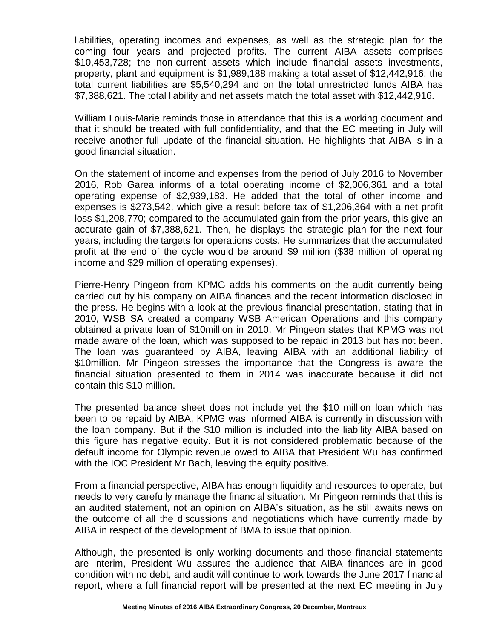liabilities, operating incomes and expenses, as well as the strategic plan for the coming four years and projected profits. The current AIBA assets comprises \$10,453,728; the non-current assets which include financial assets investments, property, plant and equipment is \$1,989,188 making a total asset of \$12,442,916; the total current liabilities are \$5,540,294 and on the total unrestricted funds AIBA has \$7,388,621. The total liability and net assets match the total asset with \$12,442,916.

William Louis-Marie reminds those in attendance that this is a working document and that it should be treated with full confidentiality, and that the EC meeting in July will receive another full update of the financial situation. He highlights that AIBA is in a good financial situation.

On the statement of income and expenses from the period of July 2016 to November 2016, Rob Garea informs of a total operating income of \$2,006,361 and a total operating expense of \$2,939,183. He added that the total of other income and expenses is \$273,542, which give a result before tax of \$1,206,364 with a net profit loss \$1,208,770; compared to the accumulated gain from the prior years, this give an accurate gain of \$7,388,621. Then, he displays the strategic plan for the next four years, including the targets for operations costs. He summarizes that the accumulated profit at the end of the cycle would be around \$9 million (\$38 million of operating income and \$29 million of operating expenses).

Pierre-Henry Pingeon from KPMG adds his comments on the audit currently being carried out by his company on AIBA finances and the recent information disclosed in the press. He begins with a look at the previous financial presentation, stating that in 2010, WSB SA created a company WSB American Operations and this company obtained a private loan of \$10million in 2010. Mr Pingeon states that KPMG was not made aware of the loan, which was supposed to be repaid in 2013 but has not been. The loan was guaranteed by AIBA, leaving AIBA with an additional liability of \$10million. Mr Pingeon stresses the importance that the Congress is aware the financial situation presented to them in 2014 was inaccurate because it did not contain this \$10 million.

The presented balance sheet does not include yet the \$10 million loan which has been to be repaid by AIBA, KPMG was informed AIBA is currently in discussion with the loan company. But if the \$10 million is included into the liability AIBA based on this figure has negative equity. But it is not considered problematic because of the default income for Olympic revenue owed to AIBA that President Wu has confirmed with the IOC President Mr Bach, leaving the equity positive.

From a financial perspective, AIBA has enough liquidity and resources to operate, but needs to very carefully manage the financial situation. Mr Pingeon reminds that this is an audited statement, not an opinion on AIBA's situation, as he still awaits news on the outcome of all the discussions and negotiations which have currently made by AIBA in respect of the development of BMA to issue that opinion.

Although, the presented is only working documents and those financial statements are interim, President Wu assures the audience that AIBA finances are in good condition with no debt, and audit will continue to work towards the June 2017 financial report, where a full financial report will be presented at the next EC meeting in July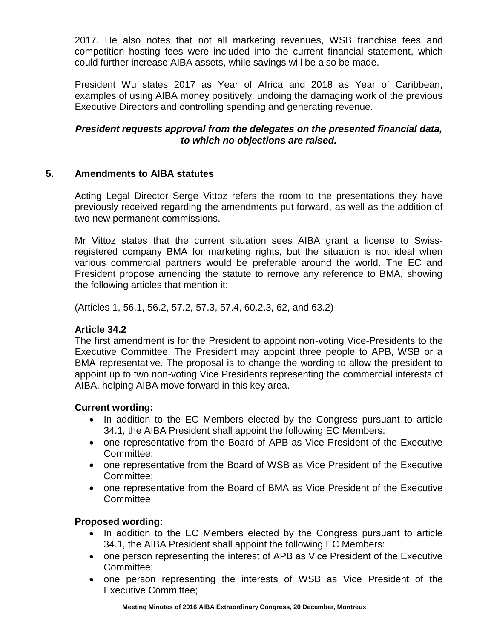2017. He also notes that not all marketing revenues, WSB franchise fees and competition hosting fees were included into the current financial statement, which could further increase AIBA assets, while savings will be also be made.

President Wu states 2017 as Year of Africa and 2018 as Year of Caribbean, examples of using AIBA money positively, undoing the damaging work of the previous Executive Directors and controlling spending and generating revenue.

## *President requests approval from the delegates on the presented financial data, to which no objections are raised.*

## **5. Amendments to AIBA statutes**

Acting Legal Director Serge Vittoz refers the room to the presentations they have previously received regarding the amendments put forward, as well as the addition of two new permanent commissions.

Mr Vittoz states that the current situation sees AIBA grant a license to Swissregistered company BMA for marketing rights, but the situation is not ideal when various commercial partners would be preferable around the world. The EC and President propose amending the statute to remove any reference to BMA, showing the following articles that mention it:

(Articles 1, 56.1, 56.2, 57.2, 57.3, 57.4, 60.2.3, 62, and 63.2)

## **Article 34.2**

The first amendment is for the President to appoint non-voting Vice-Presidents to the Executive Committee. The President may appoint three people to APB, WSB or a BMA representative. The proposal is to change the wording to allow the president to appoint up to two non-voting Vice Presidents representing the commercial interests of AIBA, helping AIBA move forward in this key area.

## **Current wording:**

- In addition to the EC Members elected by the Congress pursuant to article 34.1, the AIBA President shall appoint the following EC Members:
- one representative from the Board of APB as Vice President of the Executive Committee;
- one representative from the Board of WSB as Vice President of the Executive Committee;
- one representative from the Board of BMA as Vice President of the Executive **Committee**

## **Proposed wording:**

- In addition to the EC Members elected by the Congress pursuant to article 34.1, the AIBA President shall appoint the following EC Members:
- one person representing the interest of APB as Vice President of the Executive Committee;
- one person representing the interests of WSB as Vice President of the Executive Committee;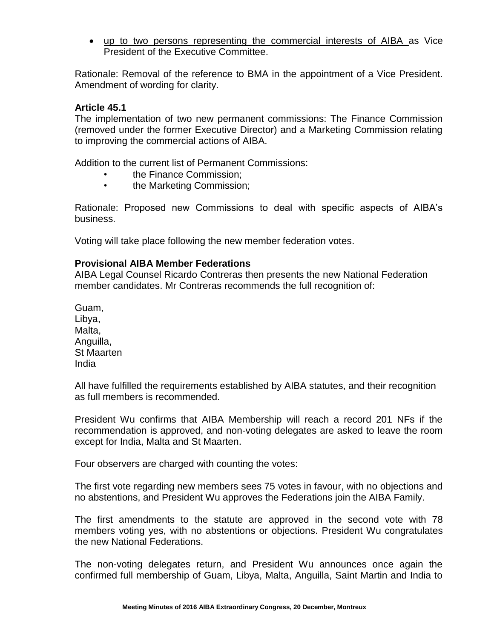• up to two persons representing the commercial interests of AIBA as Vice President of the Executive Committee.

Rationale: Removal of the reference to BMA in the appointment of a Vice President. Amendment of wording for clarity.

#### **Article 45.1**

The implementation of two new permanent commissions: The Finance Commission (removed under the former Executive Director) and a Marketing Commission relating to improving the commercial actions of AIBA.

Addition to the current list of Permanent Commissions:

- the Finance Commission;
- the Marketing Commission;

Rationale: Proposed new Commissions to deal with specific aspects of AIBA's business.

Voting will take place following the new member federation votes.

#### **Provisional AIBA Member Federations**

AIBA Legal Counsel Ricardo Contreras then presents the new National Federation member candidates. Mr Contreras recommends the full recognition of:

Guam, Libya, Malta. Anguilla, St Maarten India

All have fulfilled the requirements established by AIBA statutes, and their recognition as full members is recommended.

President Wu confirms that AIBA Membership will reach a record 201 NFs if the recommendation is approved, and non-voting delegates are asked to leave the room except for India, Malta and St Maarten.

Four observers are charged with counting the votes:

The first vote regarding new members sees 75 votes in favour, with no objections and no abstentions, and President Wu approves the Federations join the AIBA Family.

The first amendments to the statute are approved in the second vote with 78 members voting yes, with no abstentions or objections. President Wu congratulates the new National Federations.

The non-voting delegates return, and President Wu announces once again the confirmed full membership of Guam, Libya, Malta, Anguilla, Saint Martin and India to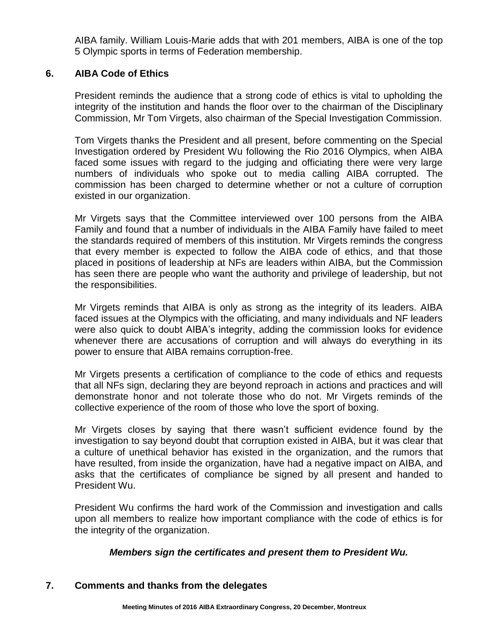AIBA family. William Louis-Marie adds that with 201 members, AIBA is one of the top 5 Olympic sports in terms of Federation membership.

## **6. AIBA Code of Ethics**

President reminds the audience that a strong code of ethics is vital to upholding the integrity of the institution and hands the floor over to the chairman of the Disciplinary Commission, Mr Tom Virgets, also chairman of the Special Investigation Commission.

Tom Virgets thanks the President and all present, before commenting on the Special Investigation ordered by President Wu following the Rio 2016 Olympics, when AIBA faced some issues with regard to the judging and officiating there were very large numbers of individuals who spoke out to media calling AIBA corrupted. The commission has been charged to determine whether or not a culture of corruption existed in our organization.

Mr Virgets says that the Committee interviewed over 100 persons from the AIBA Family and found that a number of individuals in the AIBA Family have failed to meet the standards required of members of this institution. Mr Virgets reminds the congress that every member is expected to follow the AIBA code of ethics, and that those placed in positions of leadership at NFs are leaders within AIBA, but the Commission has seen there are people who want the authority and privilege of leadership, but not the responsibilities.

Mr Virgets reminds that AIBA is only as strong as the integrity of its leaders. AIBA faced issues at the Olympics with the officiating, and many individuals and NF leaders were also quick to doubt AIBA's integrity, adding the commission looks for evidence whenever there are accusations of corruption and will always do everything in its power to ensure that AIBA remains corruption-free.

Mr Virgets presents a certification of compliance to the code of ethics and requests that all NFs sign, declaring they are beyond reproach in actions and practices and will demonstrate honor and not tolerate those who do not. Mr Virgets reminds of the collective experience of the room of those who love the sport of boxing.

Mr Virgets closes by saying that there wasn't sufficient evidence found by the investigation to say beyond doubt that corruption existed in AIBA, but it was clear that a culture of unethical behavior has existed in the organization, and the rumors that have resulted, from inside the organization, have had a negative impact on AIBA, and asks that the certificates of compliance be signed by all present and handed to President Wu.

President Wu confirms the hard work of the Commission and investigation and calls upon all members to realize how important compliance with the code of ethics is for the integrity of the organization.

## *Members sign the certificates and present them to President Wu.*

## **7. Comments and thanks from the delegates**